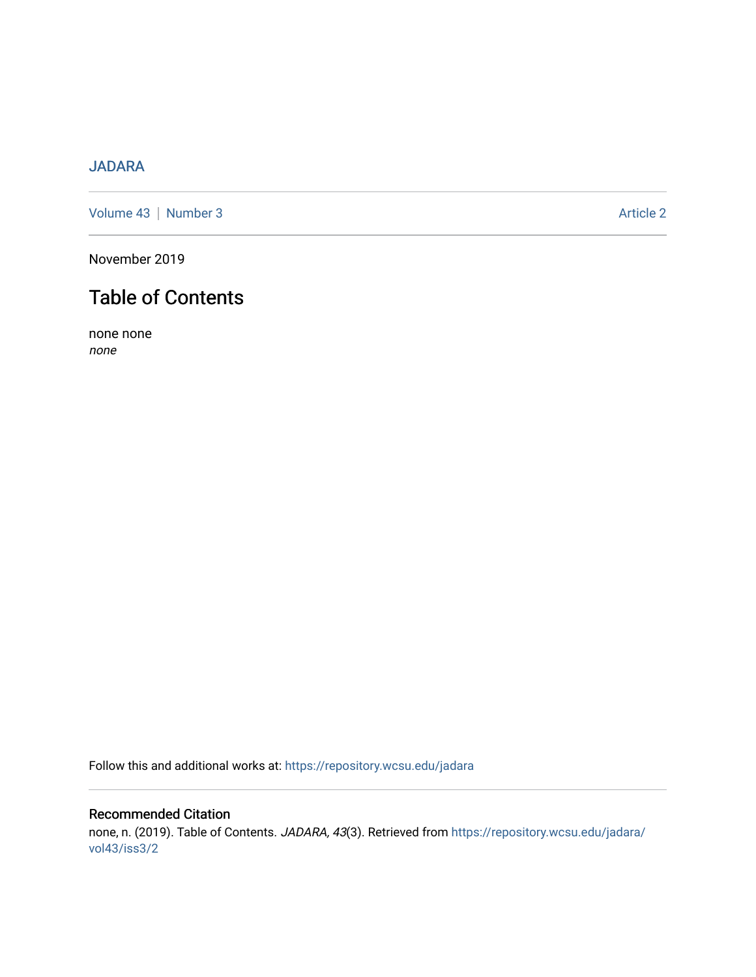# [JADARA](https://repository.wcsu.edu/jadara)

[Volume 43](https://repository.wcsu.edu/jadara/vol43) | [Number 3](https://repository.wcsu.edu/jadara/vol43/iss3) Article 2

November 2019

# Table of Contents

none none none

Follow this and additional works at: [https://repository.wcsu.edu/jadara](https://repository.wcsu.edu/jadara?utm_source=repository.wcsu.edu%2Fjadara%2Fvol43%2Fiss3%2F2&utm_medium=PDF&utm_campaign=PDFCoverPages)

# Recommended Citation none, n. (2019). Table of Contents. JADARA, 43(3). Retrieved from [https://repository.wcsu.edu/jadara/](https://repository.wcsu.edu/jadara/vol43/iss3/2?utm_source=repository.wcsu.edu%2Fjadara%2Fvol43%2Fiss3%2F2&utm_medium=PDF&utm_campaign=PDFCoverPages) [vol43/iss3/2](https://repository.wcsu.edu/jadara/vol43/iss3/2?utm_source=repository.wcsu.edu%2Fjadara%2Fvol43%2Fiss3%2F2&utm_medium=PDF&utm_campaign=PDFCoverPages)